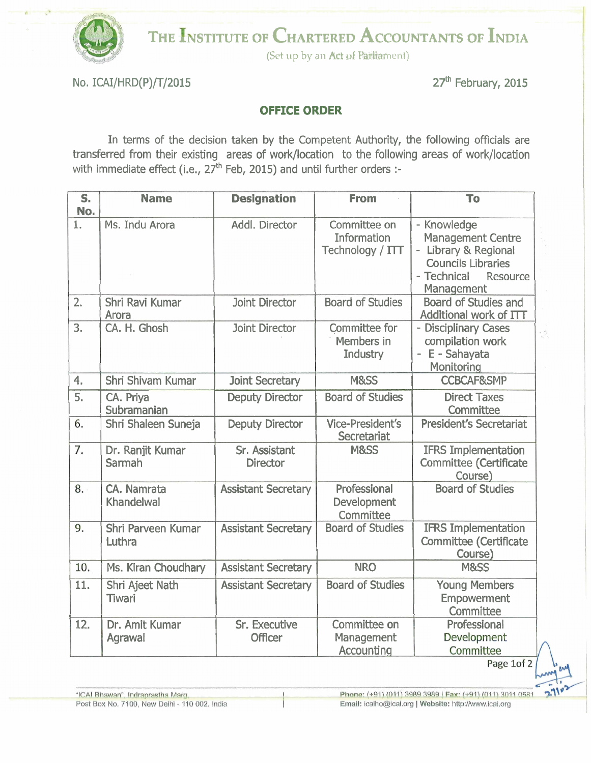

THE INSTITUTE OF CHARTERED ACCOUNTANTS OF INDIA

(Set up by an *Act of Parliament*)

No. ICAI/HRD(P)/T/2015 27<sup>th</sup> February, 2015

## **OFFICE ORDER**

In terms of the decision taken by the Competent Authority, the following officials are transferred from their existing areas of work/location to the following areas of work/location with immediate effect (i.e.,  $27<sup>th</sup>$  Feb, 2015) and until further orders :-

| S.<br>No. | <b>Name</b>                       | <b>Designation</b>               | <b>From</b>                                            | To                                                                                                                                  |
|-----------|-----------------------------------|----------------------------------|--------------------------------------------------------|-------------------------------------------------------------------------------------------------------------------------------------|
| 1.        | Ms. Indu Arora                    | Addl. Director                   | Committee on<br><b>Information</b><br>Technology / ITT | - Knowledge<br><b>Management Centre</b><br>Library & Regional<br><b>Councils Libraries</b><br>- Technical<br>Resource<br>Management |
| 2.        | Shri Ravi Kumar<br>Arora          | <b>Joint Director</b>            | <b>Board of Studies</b>                                | <b>Board of Studies and</b><br>Additional work of ITT                                                                               |
| 3.        | CA. H. Ghosh                      | <b>Joint Director</b>            | <b>Committee for</b><br>Members in<br>Industry         | - Disciplinary Cases<br>compilation work<br>E - Sahayata<br>$\overline{\phantom{a}}$<br>Monitoring                                  |
| 4.        | Shri Shivam Kumar                 | <b>Joint Secretary</b>           | M&SS                                                   | <b>CCBCAF&amp;SMP</b>                                                                                                               |
| 5.        | CA. Priya<br>Subramanian          | <b>Deputy Director</b>           | <b>Board of Studies</b>                                | <b>Direct Taxes</b><br>Committee                                                                                                    |
| 6.        | Shri Shaleen Suneja               | <b>Deputy Director</b>           | <b>Vice-President's</b><br>Secretariat                 | <b>President's Secretariat</b>                                                                                                      |
| 7.        | Dr. Ranjit Kumar<br><b>Sarmah</b> | Sr. Assistant<br><b>Director</b> | M&SS                                                   | <b>IFRS Implementation</b><br><b>Committee (Certificate</b><br>Course)                                                              |
| 8.        | CA. Namrata<br>Khandelwal         | <b>Assistant Secretary</b>       | Professional<br>Development<br>Committee               | <b>Board of Studies</b>                                                                                                             |
| 9.        | Shri Parveen Kumar<br>Luthra      | <b>Assistant Secretary</b>       | <b>Board of Studies</b>                                | <b>IFRS Implementation</b><br><b>Committee (Certificate</b><br>Course)                                                              |
| 10.       | Ms. Kiran Choudhary               | <b>Assistant Secretary</b>       | <b>NRO</b>                                             | M&SS                                                                                                                                |
| 11.       | Shri Ajeet Nath<br>Tiwari         | <b>Assistant Secretary</b>       | <b>Board of Studies</b>                                | <b>Young Members</b><br><b>Empowerment</b><br>Committee                                                                             |
| 12.       | Dr. Amit Kumar<br>Agrawal         | Sr. Executive<br><b>Officer</b>  | Committee on<br>Management<br>Accounting               | Professional<br>Development<br>Committee                                                                                            |

Ķ